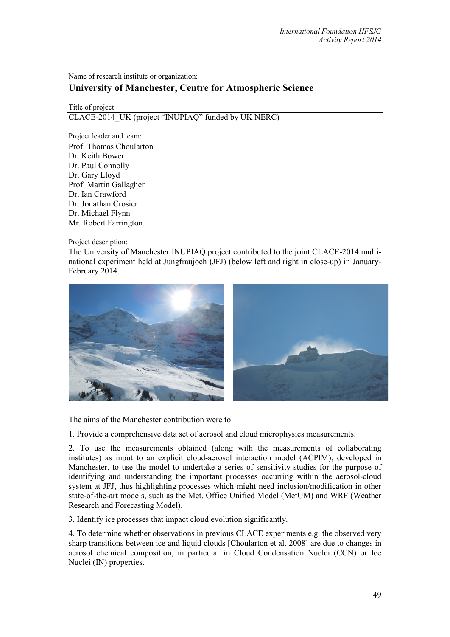Name of research institute or organization:

## **University of Manchester, Centre for Atmospheric Science**

Title of project: CLACE-2014\_UK (project "INUPIAQ" funded by UK NERC)

Project leader and team:

Prof. Thomas Choularton Dr. Keith Bower Dr. Paul Connolly Dr. Gary Lloyd Prof. Martin Gallagher Dr. Ian Crawford Dr. Jonathan Crosier Dr. Michael Flynn Mr. Robert Farrington

Project description:

The University of Manchester INUPIAQ project contributed to the joint CLACE-2014 multinational experiment held at Jungfraujoch (JFJ) (below left and right in close-up) in January-February 2014.



The aims of the Manchester contribution were to:

1. Provide a comprehensive data set of aerosol and cloud microphysics measurements.

2. To use the measurements obtained (along with the measurements of collaborating institutes) as input to an explicit cloud-aerosol interaction model (ACPIM), developed in Manchester, to use the model to undertake a series of sensitivity studies for the purpose of identifying and understanding the important processes occurring within the aerosol-cloud system at JFJ, thus highlighting processes which might need inclusion/modification in other state-of-the-art models, such as the Met. Office Unified Model (MetUM) and WRF (Weather Research and Forecasting Model).

3. Identify ice processes that impact cloud evolution significantly.

4. To determine whether observations in previous CLACE experiments e.g. the observed very sharp transitions between ice and liquid clouds [Choularton et al. 2008] are due to changes in aerosol chemical composition, in particular in Cloud Condensation Nuclei (CCN) or Ice Nuclei (IN) properties.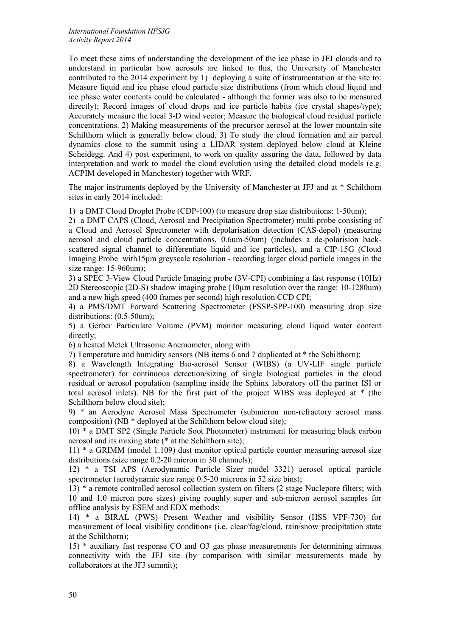To meet these aims of understanding the development of the ice phase in JFJ clouds and to understand in particular how aerosols are linked to this, the University of Manchester contributed to the 2014 experiment by 1) deploying a suite of instrumentation at the site to: Measure liquid and ice phase cloud particle size distributions (from which cloud liquid and ice phase water contents could be calculated - although the former was also to be measured directly); Record images of cloud drops and ice particle habits (ice crystal shapes/type); Accurately measure the local 3-D wind vector; Measure the biological cloud residual particle concentrations. 2) Making measurements of the precursor aerosol at the lower mountain site Schilthorn which is generally below cloud. 3) To study the cloud formation and air parcel dynamics close to the summit using a LIDAR system deployed below cloud at Kleine Scheidegg. And 4) post experiment, to work on quality assuring the data, followed by data interpretation and work to model the cloud evolution using the detailed cloud models (e.g. ACPIM developed in Manchester) together with WRF.

The major instruments deployed by the University of Manchester at JFJ and at \* Schilthorn sites in early 2014 included:

1) a DMT Cloud Droplet Probe (CDP-100) (to measure drop size distributions: 1-50um);

2) a DMT CAPS (Cloud, Aerosol and Precipitation Spectrometer) multi-probe consisting of a Cloud and Aerosol Spectrometer with depolarisation detection (CAS-depol) (measuring aerosol and cloud particle concentrations, 0.6um-50um) (includes a de-polarision backscattered signal channel to differentiate liquid and ice particles), and a CIP-15G (Cloud Imaging Probe with15μm greyscale resolution - recording larger cloud particle images in the size range: 15-960um);

3) a SPEC 3-View Cloud Particle Imaging probe (3V-CPI) combining a fast response (10Hz) 2D Stereoscopic (2D-S) shadow imaging probe (10µm resolution over the range: 10-1280um) and a new high speed (400 frames per second) high resolution CCD CPI;

4) a PMS/DMT Forward Scattering Spectrometer (FSSP-SPP-100) measuring drop size distributions: (0.5-50um);

5) a Gerber Particulate Volume (PVM) monitor measuring cloud liquid water content directly;

6) a heated Metek Ultrasonic Anemometer, along with

7) Temperature and humidity sensors (NB items 6 and 7 duplicated at \* the Schilthorn);

8) a Wavelength Integrating Bio-aerosol Sensor (WIBS) (a UV-LIF single particle spectrometer) for continuous detection/sizing of single biological particles in the cloud residual or aerosol population (sampling inside the Sphinx laboratory off the partner ISI or total aerosol inlets). NB for the first part of the project WIBS was deployed at \* (the Schilthorn below cloud site);

9) \* an Aerodyne Aerosol Mass Spectrometer (submicron non-refractory aerosol mass composition) (NB \* deployed at the Schilthorn below cloud site);

10) \* a DMT SP2 (Single Particle Soot Photometer) instrument for measuring black carbon aerosol and its mixing state (\* at the Schilthorn site);

11) \* a GRIMM (model 1.109) dust monitor optical particle counter measuring aerosol size distributions (size range 0.2-20 micron in 30 channels);

12) \* a TSI APS (Aerodynamic Particle Sizer model 3321) aerosol optical particle spectrometer (aerodynamic size range 0.5-20 microns in 52 size bins);

13) \* a remote controlled aerosol collection system on filters (2 stage Nuclepore filters; with 10 and 1.0 micron pore sizes) giving roughly super and sub-micron aerosol samples for offline analysis by ESEM and EDX methods;

14) \* a BIRAL (PWS) Present Weather and visibility Sensor (HSS VPF-730) for measurement of local visibility conditions (i.e. clear/fog/cloud, rain/snow precipitation state at the Schilthorn);

15) \* auxiliary fast response CO and O3 gas phase measurements for determining airmass connectivity with the JFJ site (by comparison with similar measurements made by collaborators at the JFJ summit);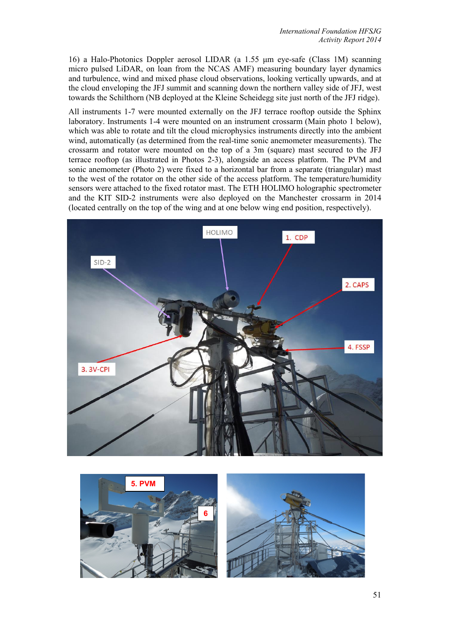16) a Halo-Photonics Doppler aerosol LIDAR (a 1.55 μm eye-safe (Class 1M) scanning micro pulsed LiDAR, on loan from the NCAS AMF) measuring boundary layer dynamics and turbulence, wind and mixed phase cloud observations, looking vertically upwards, and at the cloud enveloping the JFJ summit and scanning down the northern valley side of JFJ, west towards the Schilthorn (NB deployed at the Kleine Scheidegg site just north of the JFJ ridge).

All instruments 1-7 were mounted externally on the JFJ terrace rooftop outside the Sphinx laboratory. Instruments 1-4 were mounted on an instrument crossarm (Main photo 1 below), which was able to rotate and tilt the cloud microphysics instruments directly into the ambient wind, automatically (as determined from the real-time sonic anemometer measurements). The crossarm and rotator were mounted on the top of a 3m (square) mast secured to the JFJ terrace rooftop (as illustrated in Photos 2-3), alongside an access platform. The PVM and sonic anemometer (Photo 2) were fixed to a horizontal bar from a separate (triangular) mast to the west of the rotator on the other side of the access platform. The temperature/humidity sensors were attached to the fixed rotator mast. The ETH HOLIMO holographic spectrometer and the KIT SID-2 instruments were also deployed on the Manchester crossarm in 2014 (located centrally on the top of the wing and at one below wing end position, respectively).



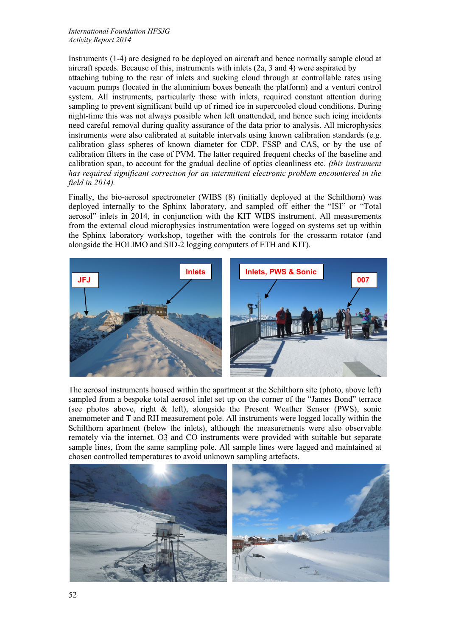*International Foundation HFSJG Activity Report 2014*

Instruments (1-4) are designed to be deployed on aircraft and hence normally sample cloud at aircraft speeds. Because of this, instruments with inlets (2a, 3 and 4) were aspirated by attaching tubing to the rear of inlets and sucking cloud through at controllable rates using vacuum pumps (located in the aluminium boxes beneath the platform) and a venturi control system. All instruments, particularly those with inlets, required constant attention during sampling to prevent significant build up of rimed ice in supercooled cloud conditions. During night-time this was not always possible when left unattended, and hence such icing incidents need careful removal during quality assurance of the data prior to analysis. All microphysics instruments were also calibrated at suitable intervals using known calibration standards (e.g. calibration glass spheres of known diameter for CDP, FSSP and CAS, or by the use of calibration filters in the case of PVM. The latter required frequent checks of the baseline and calibration span, to account for the gradual decline of optics cleanliness etc. *(this instrument has required significant correction for an intermittent electronic problem encountered in the field in 2014).*

Finally, the bio-aerosol spectrometer (WIBS (8) (initially deployed at the Schilthorn) was deployed internally to the Sphinx laboratory, and sampled off either the "ISI" or "Total aerosol" inlets in 2014, in conjunction with the KIT WIBS instrument. All measurements from the external cloud microphysics instrumentation were logged on systems set up within the Sphinx laboratory workshop, together with the controls for the crossarm rotator (and alongside the HOLIMO and SID-2 logging computers of ETH and KIT).



The aerosol instruments housed within the apartment at the Schilthorn site (photo, above left) sampled from a bespoke total aerosol inlet set up on the corner of the "James Bond" terrace (see photos above, right & left), alongside the Present Weather Sensor (PWS), sonic anemometer and T and RH measurement pole. All instruments were logged locally within the Schilthorn apartment (below the inlets), although the measurements were also observable remotely via the internet. O3 and CO instruments were provided with suitable but separate sample lines, from the same sampling pole. All sample lines were lagged and maintained at chosen controlled temperatures to avoid unknown sampling artefacts.

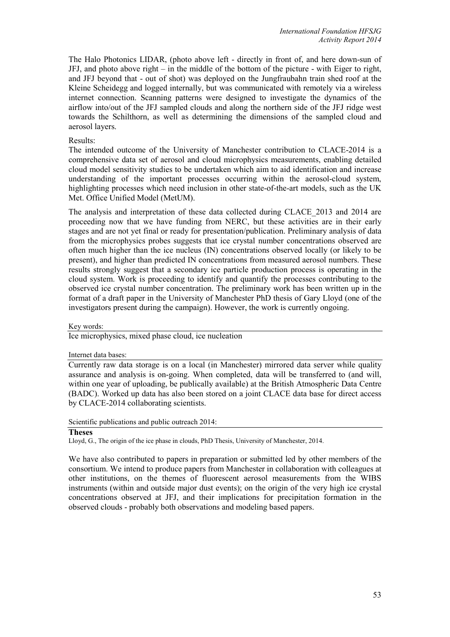The Halo Photonics LIDAR, (photo above left - directly in front of, and here down-sun of JFJ, and photo above right – in the middle of the bottom of the picture - with Eiger to right, and JFJ beyond that - out of shot) was deployed on the Jungfraubahn train shed roof at the Kleine Scheidegg and logged internally, but was communicated with remotely via a wireless internet connection. Scanning patterns were designed to investigate the dynamics of the airflow into/out of the JFJ sampled clouds and along the northern side of the JFJ ridge west towards the Schilthorn, as well as determining the dimensions of the sampled cloud and aerosol layers.

## Results:

The intended outcome of the University of Manchester contribution to CLACE-2014 is a comprehensive data set of aerosol and cloud microphysics measurements, enabling detailed cloud model sensitivity studies to be undertaken which aim to aid identification and increase understanding of the important processes occurring within the aerosol-cloud system, highlighting processes which need inclusion in other state-of-the-art models, such as the UK Met. Office Unified Model (MetUM).

The analysis and interpretation of these data collected during CLACE\_2013 and 2014 are proceeding now that we have funding from NERC, but these activities are in their early stages and are not yet final or ready for presentation/publication. Preliminary analysis of data from the microphysics probes suggests that ice crystal number concentrations observed are often much higher than the ice nucleus (IN) concentrations observed locally (or likely to be present), and higher than predicted IN concentrations from measured aerosol numbers. These results strongly suggest that a secondary ice particle production process is operating in the cloud system. Work is proceeding to identify and quantify the processes contributing to the observed ice crystal number concentration. The preliminary work has been written up in the format of a draft paper in the University of Manchester PhD thesis of Gary Lloyd (one of the investigators present during the campaign). However, the work is currently ongoing.

Key words:

Ice microphysics, mixed phase cloud, ice nucleation

Internet data bases:

Currently raw data storage is on a local (in Manchester) mirrored data server while quality assurance and analysis is on-going. When completed, data will be transferred to (and will, within one year of uploading, be publically available) at the British Atmospheric Data Centre (BADC). Worked up data has also been stored on a joint CLACE data base for direct access by CLACE-2014 collaborating scientists.

Scientific publications and public outreach 2014:

## **Theses**

Lloyd, G., The origin of the ice phase in clouds, PhD Thesis, University of Manchester, 2014.

We have also contributed to papers in preparation or submitted led by other members of the consortium. We intend to produce papers from Manchester in collaboration with colleagues at other institutions, on the themes of fluorescent aerosol measurements from the WIBS instruments (within and outside major dust events); on the origin of the very high ice crystal concentrations observed at JFJ, and their implications for precipitation formation in the observed clouds - probably both observations and modeling based papers.